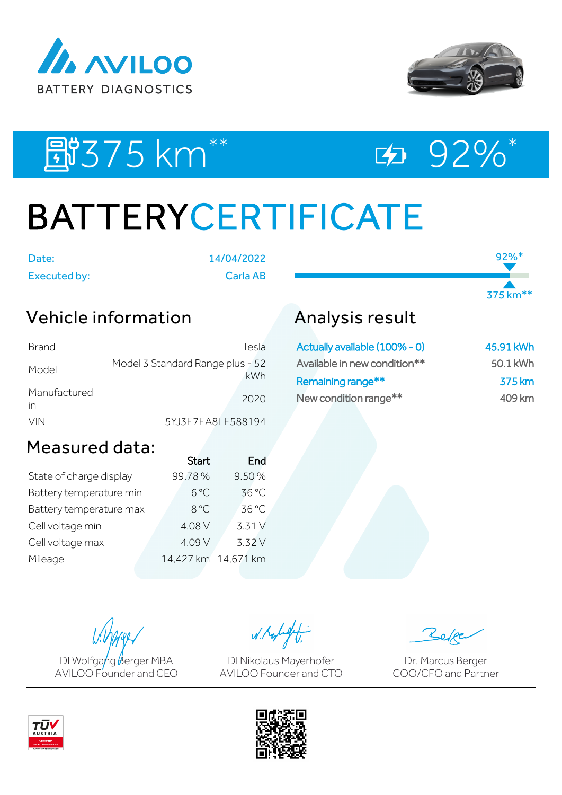



92%\*

375 km\*\*

图375 km<sup>\*\*</sup> 92%\*

# BATTERYCERTIFICATE

Date: 14/04/2022

Executed by: Carla AB

### Vehicle information

| Brand              | Tesla                                   |
|--------------------|-----------------------------------------|
| Model              | Model 3 Standard Range plus - 52<br>kWh |
| Manufactured<br>in | 2020                                    |
| <b>VIN</b>         | 5YJ3E7EA8LF588194                       |

## Measured data:

|                         | <b>Start</b>        | End    |
|-------------------------|---------------------|--------|
| State of charge display | 99.78%              | 9.50%  |
| Battery temperature min | $6^{\circ}$ C       | 36 °C  |
| Battery temperature max | 8°C                 | 36 °C  |
| Cell voltage min        | 4.08 V              | 3.31 V |
| Cell voltage max        | 4.09 V              | 3.32 V |
| Mileage                 | 14,427 km 14,671 km |        |
|                         |                     |        |

## Analysis result

| Actually available (100% - 0) | 45.91 kWh |
|-------------------------------|-----------|
| Available in new condition**  | 50.1 kWh  |
| Remaining range**             | 375 km    |
| New condition range**         | 409 km    |

DI Wolfgang Berger MBA AVILOO Founder and CEO

W. Kolight

DI Nikolaus Mayerhofer AVILOO Founder and CTO

Dr. Marcus Berger COO/CFO and Partner